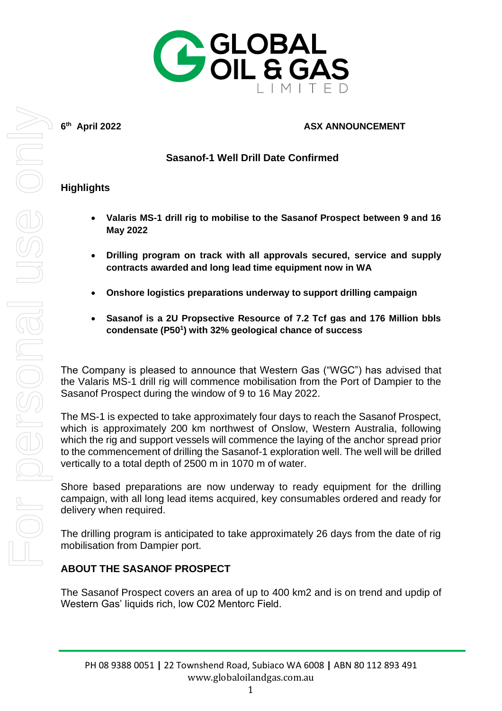

**6 th**

#### **April 2022 ASX ANNOUNCEMENT**

# **Sasanof-1 Well Drill Date Confirmed**

## **Highlights**

- **Valaris MS-1 drill rig to mobilise to the Sasanof Prospect between 9 and 16 May 2022**
- **Drilling program on track with all approvals secured, service and supply contracts awarded and long lead time equipment now in WA**
- **Onshore logistics preparations underway to support drilling campaign**
- **Sasanof is a 2U Propsective Resource of 7.2 Tcf gas and 176 Million bbls condensate (P50<sup>1</sup> ) with 32% geological chance of success**

The Company is pleased to announce that Western Gas ("WGC") has advised that the Valaris MS-1 drill rig will commence mobilisation from the Port of Dampier to the Sasanof Prospect during the window of 9 to 16 May 2022.

The MS-1 is expected to take approximately four days to reach the Sasanof Prospect, which is approximately 200 km northwest of Onslow, Western Australia, following which the rig and support vessels will commence the laying of the anchor spread prior to the commencement of drilling the Sasanof-1 exploration well. The well will be drilled vertically to a total depth of 2500 m in 1070 m of water.

Shore based preparations are now underway to ready equipment for the drilling campaign, with all long lead items acquired, key consumables ordered and ready for delivery when required.

The drilling program is anticipated to take approximately 26 days from the date of rig mobilisation from Dampier port.

### **ABOUT THE SASANOF PROSPECT**

The Sasanof Prospect covers an area of up to 400 km2 and is on trend and updip of Western Gas' liquids rich, low C02 Mentorc Field.